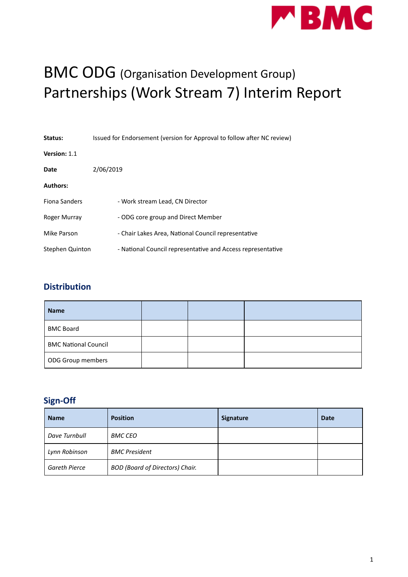

# BMC ODG (Organisation Development Group) Partnerships (Work Stream 7) Interim Report

| Status:                | Issued for Endorsement (version for Approval to follow after NC review) |
|------------------------|-------------------------------------------------------------------------|
| Version: 1.1           |                                                                         |
| Date                   | 2/06/2019                                                               |
| <b>Authors:</b>        |                                                                         |
| Fiona Sanders          | - Work stream Lead, CN Director                                         |
| Roger Murray           | - ODG core group and Direct Member                                      |
| Mike Parson            | - Chair Lakes Area, National Council representative                     |
| <b>Stephen Quinton</b> | - National Council representative and Access representative             |

#### **Distribution**

| <b>Name</b>                 |  |  |
|-----------------------------|--|--|
| <b>BMC Board</b>            |  |  |
| <b>BMC National Council</b> |  |  |
| ODG Group members           |  |  |

#### **Sign-Off**

| <b>Name</b>          | <b>Position</b>                        | <b>Signature</b> | <b>Date</b> |
|----------------------|----------------------------------------|------------------|-------------|
| Dave Turnbull        | <b>BMC CEO</b>                         |                  |             |
| Lynn Robinson        | <b>BMC</b> President                   |                  |             |
| <b>Gareth Pierce</b> | <b>BOD (Board of Directors) Chair.</b> |                  |             |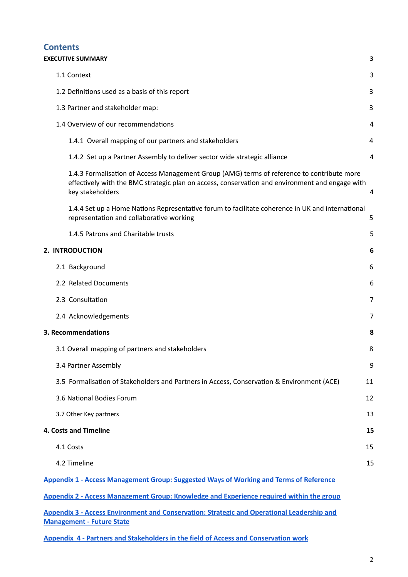#### **Contents**

## **EXECUTIVE [SUMMARY](#page-2-0) [3](#page-2-0)** 1.1 [Context](#page-2-1) [3](#page-2-1) 1.2 Definitions used as a basis of this report [3](#page-2-2) 3 1.3 Partner and [stakeholder](#page-2-3) map: [3](#page-2-3) 1.[4](#page-3-0) Overview of our recommendations and the state of the state of the state of the state of the state of the state of the state of the state of the state of the state of the state of the state of the state of the state of 1.4.1 Overall mapping of our partners and [stakeholders](#page-3-1) [4](#page-3-1) 1.4.2 Set up a Partner [Assembly](#page-3-2) to deliver sector wide strategic alliance [4](#page-3-2) 1.4.3 Formalisation of Access Management Group (AMG) terms of reference to contribute more effectively with the BMC strategic plan on access, conservation and environment and engage with key [stakeholders](#page-3-3) [4](#page-3-3) 1.4.4 Set up a Home Nations Representative forum to facilitate coherence in UK and international representation and collaborative working [5](#page-3-4) and 5 and 5 and 5 and 5 and 5 and 5 and 5 and 5 and 5 and 5 and 5 and 5 and 5 and 5 and 5 and 5 and 5 and 5 and 5 and 5 and 5 and 5 and 5 and 5 and 5 and 5 and 5 and 5 and 5 and 5 1.4.5 Patrons and [Charitable](#page-4-0) trusts [5](#page-4-0) **2. [INTRODUCTION](#page-5-0) [6](#page-5-0)** 2.1 [Background](#page-5-1) [6](#page-5-1) 2.2 Related Documents 6 2.3 Consultation [7](#page-5-2) and 7 and 7 and 7 and 7 and 7 and 7 and 7 and 7 and 7 and 7 and 7 and 7 and 7 and 7 and 7 and 7 and 7 and 7 and 7 and 7 and 7 and 7 and 7 and 7 and 7 and 7 and 7 and 7 and 7 and 7 and 7 and 7 and 7 and 7 2.4 Acknowledgements 7 **3. [Recommendations](#page-6-0) [8](#page-6-0)** 3.1 Overall mapping of partners and [stakeholders](#page-6-1) [8](#page-6-1) 3.4 Partner [Assembly](#page-7-0) [9](#page-7-0) 3.5 Formalisation [of Stakeholders](#page-9-0) and Partners in Access, Conservation & Environment (ACE) [11](#page-9-0) 3.6 National Bodies Forum [12](#page-10-0)

3.7 Other Key partners 13

#### **4. Costs and [Timeline](#page-13-0) [15](#page-13-0)**

4.1 [Costs](#page-13-1) [15](#page-13-1) 4.2 [Timeline](#page-13-2) [15](#page-13-2)

**Appendix 1 - Access [Management](https://odg.thebmc.co.uk/hc/en-gb/article_attachments/360038814953/Appx_1_Partnership_Paper.pdf) Group: Suggested Ways of Working and Terms of Reference**

**Appendix 2 - Access [Management](https://odg.thebmc.co.uk/hc/en-gb/article_attachments/360037972554/Appx_2_Partnership_Paper.pdf) Group: Knowledge and Experience required within the group**

**Appendix 3 - Access Environment and [Conservation:](https://odg.thebmc.co.uk/hc/en-gb/article_attachments/360038815013/Appx_3_Partnership_Paper.pdf) Strategic and Operational Leadership and [Management](https://odg.thebmc.co.uk/hc/en-gb/article_attachments/360038815013/Appx_3_Partnership_Paper.pdf) - Future State**

**Appendix 4 - Partners and Stakeholders in the field of Access and [Conservation](https://odg.thebmc.co.uk/hc/en-gb/article_attachments/360038814973/Appx_4_Partnership_Paper.pdf) work**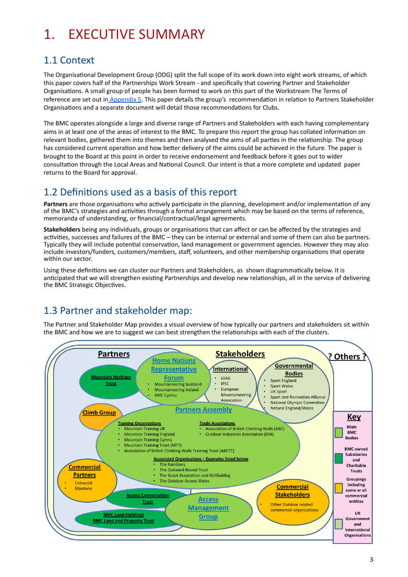# <span id="page-2-0"></span>1. EXECUTIVE SUMMARY

## <span id="page-2-1"></span>1.1 Context

The Organisational Development Group (ODG) split the full scope of its work down into eight work streams, of which this paper covers half of the Partnerships Work Stream - and specifically that covering Partner and Stakeholder Organisations. A small group of people has been formed to work on this part of the Workstream The Terms of reference are set out in [Appendix](https://odg.thebmc.co.uk/hc/en-gb/article_attachments/360038815033/Appx_5_Partnership_Paper.pdf) 5. This paper details the group's recommendation in relation to Partners Stakeholder Organisations and a separate document will detail those recommendations for Clubs.

The BMC operates alongside a large and diverse range of Partners and Stakeholders with each having complementary aims in at least one of the areas of interest to the BMC. To prepare this report the group has collated information on relevant bodies, gathered them into themes and then analysed the aims of all parties in the relationship. The group has considered current operation and how better delivery of the aims could be achieved in the future. The paper is brought to the Board at this point in order to receive endorsement and feedback before it goes out to wider consultation through the Local Areas and National Council. Our intent is that a more complete and updated paper returns to the Board for approval.

### <span id="page-2-2"></span>1.2 Definitions used as a basis of this report

Partners are those organisations who actively participate in the planning, development and/or implementation of any of the BMC's strategies and activities through a formal arrangement which may be based on the terms of reference, memoranda of understanding, or financial/contractual/legal agreements.

Stakeholders being any individuals, groups or organisations that can affect or can be affected by the strategies and activities, successes and failures of the BMC – they can be internal or external and some of them can also be partners. Typically they will include potential conservation, land management or government agencies. However they may also include investors/funders, customers/members, staff, volunteers, and other membership organisations that operate within our sector.

Using these definitions we can cluster our Partners and Stakeholders, as shown diagrammatically below. It is anticipated that we will strengthen existing Partnerships and develop new relationships, all in the service of delivering the BMC Strategic Objectives.

## <span id="page-2-3"></span>1.3 Partner and stakeholder map:

The Partner and Stakeholder Map provides a visual overview of how typically our partners and stakeholders sit within the BMC and how we are to suggest we can best strengthen the relationships with each of the clusters.

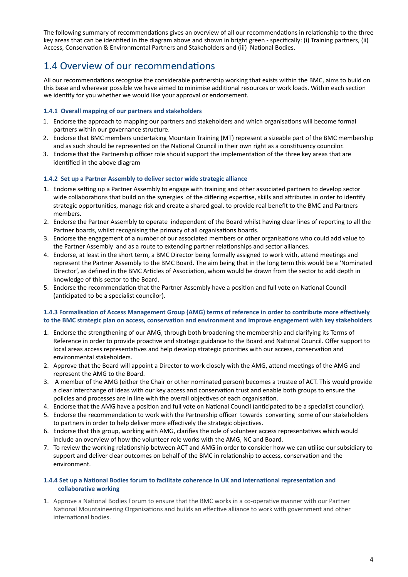The following summary of recommendations gives an overview of all our recommendations in relationship to the three key areas that can be idenfied in the diagram above and shown in bright green - specifically: (i) Training partners, (ii) Access, Conservation & Environmental Partners and Stakeholders and (iii) National Bodies.

### <span id="page-3-0"></span>1.4 Overview of our recommendations

All our recommendations recognise the considerable partnership working that exists within the BMC, aims to build on this base and wherever possible we have aimed to minimise additional resources or work loads. Within each section we identify for you whether we would like your approval or endorsement.

#### <span id="page-3-1"></span>**1.4.1 Overall mapping of our partners and stakeholders**

- 1. Endorse the approach to mapping our partners and stakeholders and which organisations will become formal partners within our governance structure.
- 2. Endorse that BMC members undertaking Mountain Training (MT) represent a sizeable part of the BMC membership and as such should be represented on the National Council in their own right as a constituency councilor.
- 3. Endorse that the Partnership officer role should support the implementation of the three key areas that are identified in the above diagram

#### <span id="page-3-2"></span>**1.4.2 Set up a Partner Assembly to deliver sector wide strategic alliance**

- 1. Endorse setting up a Partner Assembly to engage with training and other associated partners to develop sector wide collaborations that build on the synergies of the differing expertise, skills and attributes in order to identify strategic opportunies, manage risk and create a shared goal. to provide real benefit to the BMC and Partners members.
- 2. Endorse the Partner Assembly to operate independent of the Board whilst having clear lines of reporting to all the Partner boards, whilst recognising the primacy of all organisations boards.
- 3. Endorse the engagement of a number of our associated members or other organisations who could add value to the Partner Assembly and as a route to extending partner relationships and sector alliances.
- 4. Endorse, at least in the short term, a BMC Director being formally assigned to work with, attend meetings and represent the Partner Assembly to the BMC Board. The aim being that in the long term this would be a 'Nominated Director', as defined in the BMC Articles of Association, whom would be drawn from the sector to add depth in knowledge of this sector to the Board.
- 5. Endorse the recommendation that the Partner Assembly have a position and full vote on National Council (anticipated to be a specialist councilor).

#### <span id="page-3-3"></span>**1.4.3 Formalisation of Access Management Group (AMG) terms of reference in order to contribute more effectively to the BMC strategic plan on access, conservation and environment and improve engagement with key stakeholders**

- 1. Endorse the strengthening of our AMG, through both broadening the membership and clarifying its Terms of Reference in order to provide proactive and strategic guidance to the Board and National Council. Offer support to local areas access representatives and help develop strategic priorities with our access, conservation and environmental stakeholders.
- 2. Approve that the Board will appoint a Director to work closely with the AMG, attend meetings of the AMG and represent the AMG to the Board.
- 3. A member of the AMG (either the Chair or other nominated person) becomes a trustee of ACT. This would provide a clear interchange of ideas with our key access and conservation trust and enable both groups to ensure the policies and processes are in line with the overall objectives of each organisation.
- 4. Endorse that the AMG have a position and full vote on National Council (anticipated to be a specialist councilor).
- 5. Endorse the recommendation to work with the Partnership officer towards converting some of our stakeholders to partners in order to help deliver more effectively the strategic objectives.
- 6. Endorse that this group, working with AMG, clarifies the role of volunteer access representatives which would include an overview of how the volunteer role works with the AMG, NC and Board.
- 7. To review the working relationship between ACT and AMG in order to consider how we can utilise our subsidiary to support and deliver clear outcomes on behalf of the BMC in relationship to access, conservation and the environment.

#### <span id="page-3-4"></span>**1.4.4 Set up a National Bodies forum to facilitate coherence in UK and international representation and collaborative working**

1. Approve a National Bodies Forum to ensure that the BMC works in a co-operative manner with our Partner National Mountaineering Organisations and builds an effective alliance to work with government and other international bodies.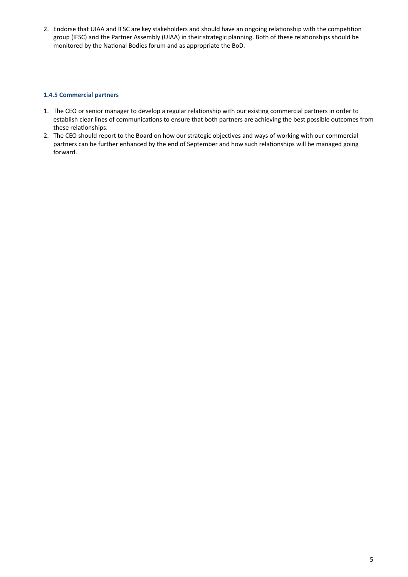<span id="page-4-0"></span>2. Endorse that UIAA and IFSC are key stakeholders and should have an ongoing relationship with the competition group (IFSC) and the Partner Assembly (UIAA) in their strategic planning. Both of these relationships should be monitored by the National Bodies forum and as appropriate the BoD.

#### **1.4.5 Commercial partners**

- 1. The CEO or senior manager to develop a regular relationship with our existing commercial partners in order to establish clear lines of communications to ensure that both partners are achieving the best possible outcomes from these relationships.
- 2. The CEO should report to the Board on how our strategic objectives and ways of working with our commercial partners can be further enhanced by the end of September and how such relationships will be managed going forward.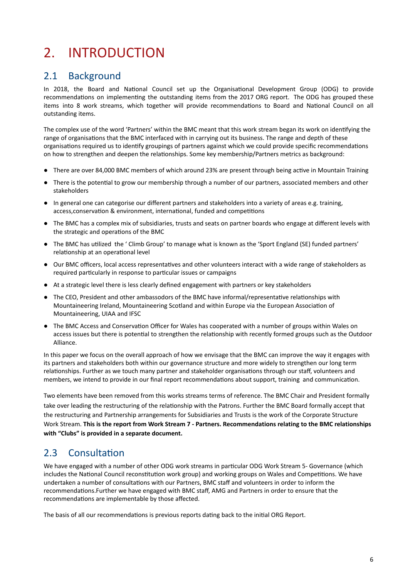# <span id="page-5-0"></span>2. INTRODUCTION

### <span id="page-5-1"></span>2.1 Background

In 2018, the Board and National Council set up the Organisational Development Group (ODG) to provide recommendations on implementing the outstanding items from the 2017 ORG report. The ODG has grouped these items into 8 work streams, which together will provide recommendations to Board and National Council on all outstanding items.

The complex use of the word 'Partners' within the BMC meant that this work stream began its work on identifying the range of organisations that the BMC interfaced with in carrying out its business. The range and depth of these organisations required us to identify groupings of partners against which we could provide specific recommendations on how to strengthen and deepen the relationships. Some key membership/Partners metrics as background:

- There are over 84,000 BMC members of which around 23% are present through being active in Mountain Training
- There is the potential to grow our membership through a number of our partners, associated members and other stakeholders
- In general one can categorise our different partners and stakeholders into a variety of areas e.g. training, access, conservation & environment, international, funded and competitions
- The BMC has a complex mix of subsidiaries, trusts and seats on partner boards who engage at different levels with the strategic and operations of the BMC
- The BMC has utilized the ' Climb Group' to manage what is known as the 'Sport England (SE) funded partners' relationship at an operational level
- Our BMC officers, local access representatives and other volunteers interact with a wide range of stakeholders as required particularly in response to particular issues or campaigns
- At a strategic level there is less clearly defined engagement with partners or key stakeholders
- The CEO, President and other ambassodors of the BMC have informal/representative relationships with Mountaineering Ireland, Mountaineering Scotland and within Europe via the European Association of Mountaineering, UIAA and IFSC
- The BMC Access and Conservation Officer for Wales has cooperated with a number of groups within Wales on access issues but there is potential to strengthen the relationship with recently formed groups such as the Outdoor Alliance.

In this paper we focus on the overall approach of how we envisage that the BMC can improve the way it engages with its partners and stakeholders both within our governance structure and more widely to strengthen our long term relationships. Further as we touch many partner and stakeholder organisations through our staff, volunteers and members, we intend to provide in our final report recommendations about support, training and communication.

Two elements have been removed from this works streams terms of reference. The BMC Chair and President formally take over leading the restructuring of the relationship with the Patrons. Further the BMC Board formally accept that the restructuring and Partnership arrangements for Subsidiaries and Trusts is the work of the Corporate Structure Work Stream. **This is the report from Work Stream 7 - Partners. Recommendations relating to the BMC relationships with "Clubs" is provided in a separate document.**

### <span id="page-5-2"></span>2.3 Consultation

We have engaged with a number of other ODG work streams in particular ODG Work Stream 5- Governance (which includes the National Council reconstitution work group) and working groups on Wales and Competitions. We have undertaken a number of consultations with our Partners, BMC staff and volunteers in order to inform the recommendations.Further we have engaged with BMC staff, AMG and Partners in order to ensure that the recommendations are implementable by those affected.

The basis of all our recommendations is previous reports dating back to the initial ORG Report.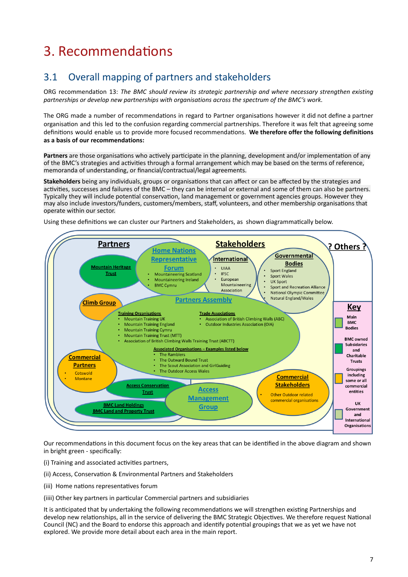# <span id="page-6-0"></span>3. Recommendations

## <span id="page-6-1"></span>3.1 Overall mapping of partners and stakeholders

ORG recommendation 13: The BMC should review its strategic partnership and where necessary strengthen existing *partnerships or develop new partnerships with organisations across the spectrum of the BMC's work.*

The ORG made a number of recommendations in regard to Partner organisations however it did not define a partner organisation and this led to the confusion regarding commercial partnerships. Therefore it was felt that agreeing some definitions would enable us to provide more focused recommendations. We therefore offer the following definitions **as a basis of our recommendations:**

Partners are those organisations who actively participate in the planning, development and/or implementation of any of the BMC's strategies and activities through a formal arrangement which may be based on the terms of reference, memoranda of understanding, or financial/contractual/legal agreements.

Stakeholders being any individuals, groups or organisations that can affect or can be affected by the strategies and activities, successes and failures of the BMC – they can be internal or external and some of them can also be partners. Typically they will include potential conservation, land management or government agencies groups. However they may also include investors/funders, customers/members, staff, volunteers, and other membership organisations that operate within our sector.

Using these definitions we can cluster our Partners and Stakeholders, as shown diagrammatically below.



Our recommendations in this document focus on the key areas that can be identified in the above diagram and shown in bright green - specifically:

- (i) Training and associated activities partners,
- (ii) Access, Conservation & Environmental Partners and Stakeholders
- (iii) Home nations representatives forum
- (iiii) Other key partners in particular Commercial partners and subsidiaries

It is anticipated that by undertaking the following recommendations we will strengthen existing Partnerships and develop new relationships, all in the service of delivering the BMC Strategic Objectives. We therefore request National Council (NC) and the Board to endorse this approach and identify potential groupings that we as yet we have not explored. We provide more detail about each area in the main report.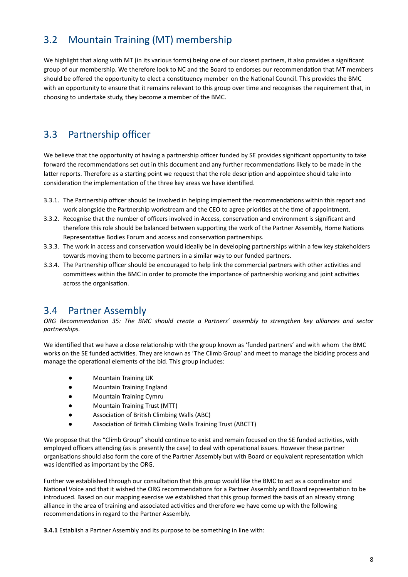## 3.2 Mountain Training (MT) membership

We highlight that along with MT (in its various forms) being one of our closest partners, it also provides a significant group of our membership. We therefore look to NC and the Board to endorses our recommendation that MT members should be offered the opportunity to elect a constituency member on the National Council. This provides the BMC with an opportunity to ensure that it remains relevant to this group over time and recognises the requirement that, in choosing to undertake study, they become a member of the BMC.

### 3.3 Partnership officer

We believe that the opportunity of having a partnership officer funded by SE provides significant opportunity to take forward the recommendations set out in this document and any further recommendations likely to be made in the latter reports. Therefore as a starting point we request that the role description and appointee should take into consideration the implementation of the three key areas we have identified.

- 3.3.1. The Partnership officer should be involved in helping implement the recommendations within this report and work alongside the Partnership workstream and the CEO to agree priorities at the time of appointment.
- 3.3.2. Recognise that the number of officers involved in Access, conservation and environment is significant and therefore this role should be balanced between supporting the work of the Partner Assembly, Home Nations Representative Bodies Forum and access and conservation partnerships.
- 3.3.3. The work in access and conservation would ideally be in developing partnerships within a few key stakeholders towards moving them to become partners in a similar way to our funded partners.
- 3.3.4. The Partnership officer should be encouraged to help link the commercial partners with other activities and committees within the BMC in order to promote the importance of partnership working and joint activities across the organisation.

#### <span id="page-7-0"></span>3.4 Partner Assembly

*ORG Recommendation 35: The BMC should create a Partners' assembly to strengthen key alliances and sector partnerships.*

We identified that we have a close relationship with the group known as 'funded partners' and with whom the BMC works on the SE funded activities. They are known as 'The Climb Group' and meet to manage the bidding process and manage the operational elements of the bid. This group includes:

- Mountain Training UK
- Mountain Training England
- Mountain Training Cymru
- Mountain Training Trust (MTT)
- Association of British Climbing Walls (ABC)
- Association of British Climbing Walls Training Trust (ABCTT)

We propose that the "Climb Group" should continue to exist and remain focused on the SE funded activities, with employed officers attending (as is presently the case) to deal with operational issues. However these partner organisations should also form the core of the Partner Assembly but with Board or equivalent representation which was identified as important by the ORG.

Further we established through our consultation that this group would like the BMC to act as a coordinator and National Voice and that it wished the ORG recommendations for a Partner Assembly and Board representation to be introduced. Based on our mapping exercise we established that this group formed the basis of an already strong alliance in the area of training and associated activities and therefore we have come up with the following recommendations in regard to the Partner Assembly.

**3.4.1** Establish a Partner Assembly and its purpose to be something in line with: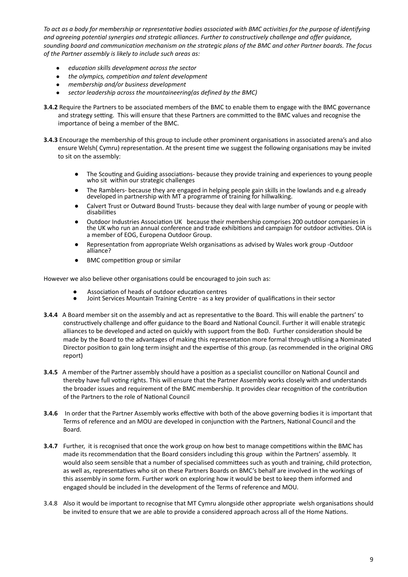To act as a body for membership or representative bodies associated with BMC activities for the purpose of identifying *and agreeing potential synergies and strategic alliances. Further to constructively challenge and offer guidance,* sounding board and communication mechanism on the strategic plans of the BMC and other Partner boards. The focus *of the Partner assembly is likely to include such areas as:*

- *● education skills development across the sector*
- *● the olympics, competition and talent development*
- *● membership and/or business development*
- *● sector leadership across the mountaineering(as defined by the BMC)*
- **3.4.2** Require the Partners to be associated members of the BMC to enable them to engage with the BMC governance and strategy setting. This will ensure that these Partners are committed to the BMC values and recognise the importance of being a member of the BMC.
- **3.4.3** Encourage the membership of this group to include other prominent organisations in associated arena's and also ensure Welsh( Cymru) representation. At the present time we suggest the following organisations may be invited to sit on the assembly:
	- The Scouting and Guiding associations- because they provide training and experiences to young people who sit within our strategic challenges
	- The Ramblers- because they are engaged in helping people gain skills in the lowlands and e.g already developed in partnership with MT a programme of training for hillwalking.
	- Calvert Trust or Outward Bound Trusts- because they deal with large number of young or people with disabilities
	- Outdoor Industries Association UK because their membership comprises 200 outdoor companies in the UK who run an annual conference and trade exhibitions and campaign for outdoor activities. OIA is a member of EOG, Europena Outdoor Group.
	- Representation from appropriate Welsh organisations as advised by Wales work group -Outdoor alliance?
	- BMC competition group or similar

However we also believe other organisations could be encouraged to join such as:

- Association of heads of outdoor education centres
- Joint Services Mountain Training Centre as a key provider of qualifications in their sector
- **3.4.4** A Board member sit on the assembly and act as representative to the Board. This will enable the partners' to constructively challenge and offer guidance to the Board and National Council. Further it will enable strategic alliances to be developed and acted on quickly with support from the BoD. Further consideration should be made by the Board to the advantages of making this representation more formal through utilising a Nominated Director position to gain long term insight and the expertise of this group. (as recommended in the original ORG report)
- **3.4.5** A member of the Partner assembly should have a position as a specialist councillor on National Council and thereby have full voting rights. This will ensure that the Partner Assembly works closely with and understands the broader issues and requirement of the BMC membership. It provides clear recognition of the contribution of the Partners to the role of National Council
- **3.4.6** In order that the Partner Assembly works effective with both of the above governing bodies it is important that Terms of reference and an MOU are developed in conjunction with the Partners, National Council and the Board.
- **3.4.7** Further, it is recognised that once the work group on how best to manage competitions within the BMC has made its recommendation that the Board considers including this group within the Partners' assembly. It would also seem sensible that a number of specialised committees such as youth and training, child protection, as well as, representatives who sit on these Partners Boards on BMC's behalf are involved in the workings of this assembly in some form. Further work on exploring how it would be best to keep them informed and engaged should be included in the development of the Terms of reference and MOU.
- 3.4.8 Also it would be important to recognise that MT Cymru alongside other appropriate welsh organisations should be invited to ensure that we are able to provide a considered approach across all of the Home Nations.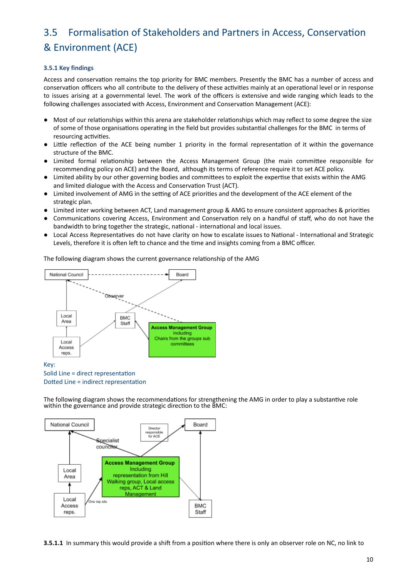## <span id="page-9-0"></span>3.5 Formalisation of Stakeholders and Partners in Access, Conservation & Environment (ACE)

#### **3.5.1 Key findings**

Access and conservation remains the top priority for BMC members. Presently the BMC has a number of access and conservation officers who all contribute to the delivery of these activities mainly at an operational level or in response to issues arising at a governmental level. The work of the officers is extensive and wide ranging which leads to the following challenges associated with Access, Environment and Conservation Management (ACE):

- Most of our relationships within this arena are stakeholder relationships which may reflect to some degree the size of some of those organisations operating in the field but provides substantial challenges for the BMC in terms of resourcing activities.
- Little reflection of the ACE being number 1 priority in the formal representation of it within the governance structure of the BMC.
- Limited formal relationship between the Access Management Group (the main committee responsible for recommending policy on ACE) and the Board, although its terms of reference require it to set ACE policy.
- Limited ability by our other governing bodies and committees to exploit the expertise that exists within the AMG and limited dialogue with the Access and Conservation Trust (ACT).
- Limited involvement of AMG in the setting of ACE priorities and the development of the ACE element of the strategic plan.
- Limited inter working between ACT, Land management group & AMG to ensure consistent approaches & priories
- Communications covering Access, Environment and Conservation rely on a handful of staff, who do not have the bandwidth to bring together the strategic, national - international and local issues.
- Local Access Representatives do not have clarity on how to escalate issues to National International and Strategic Levels, therefore it is often left to chance and the time and insights coming from a BMC officer.

The following diagram shows the current governance relationship of the AMG



#### Solid Line = direct representation Dotted Line = indirect representation

The following diagram shows the recommendations for strengthening the AMG in order to play a substantive role within the governance and provide strategic direction to the BMC:



**3.5.1.1** In summary this would provide a shift from a position where there is only an observer role on NC, no link to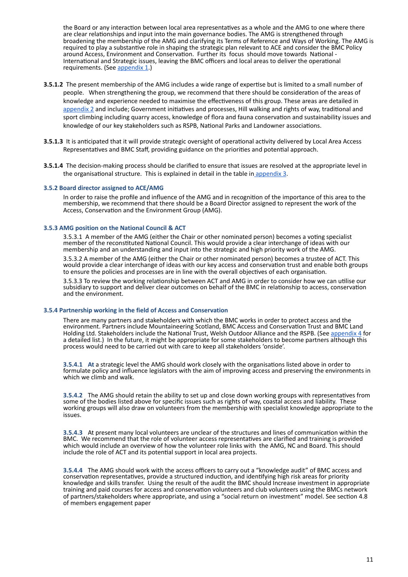the Board or any interaction between local area representatives as a whole and the AMG to one where there are clear relationships and input into the main governance bodies. The AMG is strengthened through broadening the membership of the AMG and clarifying its Terms of Reference and Ways of Working. The AMG is required to play a substantive role in shaping the strategic plan relevant to ACE and consider the BMC Policy around Access, Environment and Conservation. Further its focus should move towards National -International and Strategic issues, leaving the BMC officers and local areas to deliver the operational requirements. (See [appendix](https://odg.thebmc.co.uk/hc/en-gb/article_attachments/360038814953/Appx_1_Partnership_Paper.pdf) 1.)

- **3.5.1.2** The present membership of the AMG includes a wide range of expertise but is limited to a small number of people. When strengthening the group, we recommend that there should be consideration of the areas of knowledge and experience needed to maximise the effectiveness of this group. These areas are detailed in [appendix](https://odg.thebmc.co.uk/hc/en-gb/article_attachments/360037972554/Appx_2_Partnership_Paper.pdf) 2 and include; Government initiatives and processes, Hill walking and rights of way, traditional and sport climbing including quarry access, knowledge of flora and fauna conservation and sustainability issues and knowledge of our key stakeholders such as RSPB, National Parks and Landowner associations.
- **3.5.1.3** It is anticipated that it will provide strategic oversight of operational activity delivered by Local Area Access Representatives and BMC Staff, providing guidance on the priorities and potential approach.
- **3.5.1.4** The decision-making process should be clarified to ensure that issues are resolved at the appropriate level in the organisational structure. This is explained in detail in the table in [appendix](https://odg.thebmc.co.uk/hc/en-gb/article_attachments/360038815013/Appx_3_Partnership_Paper.pdf) 3.

#### **3.5.2 Board director assigned to ACE/AMG**

In order to raise the profile and influence of the AMG and in recognition of the importance of this area to the membership, we recommend that there should be a Board Director assigned to represent the work of the Access, Conservation and the Environment Group (AMG).

#### **3.5.3 AMG position on the National Council & ACT**

3.5.3.1 A member of the AMG (either the Chair or other nominated person) becomes a voting specialist member of the reconstituted National Council. This would provide a clear interchange of ideas with our membership and an understanding and input into the strategic and high priority work of the AMG.

3.5.3.2 A member of the AMG (either the Chair or other nominated person) becomes a trustee of ACT. This would provide a clear interchange of ideas with our key access and conservation trust and enable both groups to ensure the policies and processes are in line with the overall objectives of each organisation.

3.5.3.3 To review the working relationship between ACT and AMG in order to consider how we can utilise our subsidiary to support and deliver clear outcomes on behalf of the BMC in relationship to access, conservation and the environment.

#### **3.5.4 Partnership working in the field of Access and Conservation**

There are many partners and stakeholders with which the BMC works in order to protect access and the environment. Partners include Mountaineering Scotland, BMC Access and Conservation Trust and BMC Land Holding Ltd. Stakeholders include the National Trust, Welsh Outdoor Alliance and the RSPB. (See [appendix](https://odg.thebmc.co.uk/hc/en-gb/article_attachments/360038814973/Appx_4_Partnership_Paper.pdf) 4 for a detailed list.) In the future, it might be appropriate for some stakeholders to become partners although this process would need to be carried out with care to keep all stakeholders 'onside'.

**3.5.4.1** At a strategic level the AMG should work closely with the organisations listed above in order to formulate policy and influence legislators with the aim of improving access and preserving the environments in which we climb and walk.

**3.5.4.2** The AMG should retain the ability to set up and close down working groups with representatives from some of the bodies listed above for specific issues such as rights of way, coastal access and liability. These working groups will also draw on volunteers from the membership with specialist knowledge appropriate to the issues.

**3.5.4.3** At present many local volunteers are unclear of the structures and lines of communication within the BMC. We recommend that the role of volunteer access representatives are clarified and training is provided which would include an overview of how the volunteer role links with the AMG, NC and Board. This should include the role of ACT and its potential support in local area projects.

<span id="page-10-0"></span>**3.5.4.4** The AMG should work with the access officers to carry out a "knowledge audit" of BMC access and conservation representatives, provide a structured induction, and identifying high risk areas for priority knowledge and skills transfer. Using the result of the audit the BMC should Increase investment in appropriate training and paid courses for access and conservation volunteers and club volunteers using the BMCs network of partners/stakeholders where appropriate, and using a "social return on investment" model. See section 4.8 of members engagement paper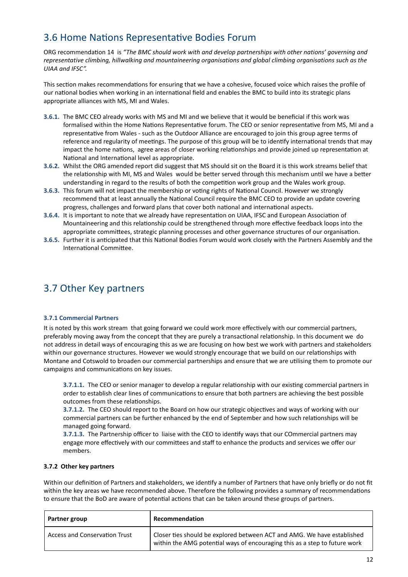## 3.6 Home Nations Representative Bodies Forum

ORG recommendation 14 is "The BMC should work with and develop partnerships with other nations' governing and *representative climbing, hillwalking and mountaineering organisations and global climbing organisations such as the UIAA and IFSC".*

This section makes recommendations for ensuring that we have a cohesive, focused voice which raises the profile of our national bodies when working in an international field and enables the BMC to build into its strategic plans appropriate alliances with MS, MI and Wales.

- **3.6.1.** The BMC CEO already works with MS and MI and we believe that it would be beneficial if this work was formalised within the Home Nations Representative forum. The CEO or senior representative from MS, MI and a representative from Wales - such as the Outdoor Alliance are encouraged to join this group agree terms of reference and regularity of meetings. The purpose of this group will be to identify international trends that may impact the home nations, agree areas of closer working relationships and provide joined up representation at National and International level as appropriate.
- **3.6.2.** Whilst the ORG amended report did suggest that MS should sit on the Board it is this work streams belief that the relationship with MI, MS and Wales would be better served through this mechanism until we have a better understanding in regard to the results of both the competition work group and the Wales work group.
- 3.6.3. This forum will not impact the membership or voting rights of National Council. However we strongly recommend that at least annually the National Council require the BMC CEO to provide an update covering progress, challenges and forward plans that cover both national and international aspects.
- 3.6.4. It is important to note that we already have representation on UIAA, IFSC and European Association of Mountaineering and this relationship could be strengthened through more effective feedback loops into the appropriate committees, strategic planning processes and other governance structures of our organisation.
- **3.6.5.** Further it is anticipated that this National Bodies Forum would work closely with the Partners Assembly and the International Committee.

### 3.7 Other Key partners

#### **3.7.1 Commercial Partners**

It is noted by this work stream that going forward we could work more effectively with our commercial partners, preferably moving away from the concept that they are purely a transactional relationship. In this document we do not address in detail ways of encouraging this as we are focusing on how best we work with partners and stakeholders within our governance structures. However we would strongly encourage that we build on our relationships with Montane and Cotswold to broaden our commercial partnerships and ensure that we are ulising them to promote our campaigns and communications on key issues.

**3.7.1.1.** The CEO or senior manager to develop a regular relationship with our existing commercial partners in order to establish clear lines of communications to ensure that both partners are achieving the best possible outcomes from these relationships.

**3.7.1.2.** The CEO should report to the Board on how our strategic objectives and ways of working with our commercial partners can be further enhanced by the end of September and how such relationships will be managed going forward.

**3.7.1.3.** The Partnership officer to liaise with the CEO to identify ways that our COmmercial partners may engage more effectively with our committees and staff to enhance the products and services we offer our members.

#### **3.7.2 Other key partners**

Within our definition of Partners and stakeholders, we identify a number of Partners that have only briefly or do not fit within the key areas we have recommended above. Therefore the following provides a summary of recommendations to ensure that the BoD are aware of potential actions that can be taken around these groups of partners.

| Partner group                 | Recommendation                                                                                                                                        |
|-------------------------------|-------------------------------------------------------------------------------------------------------------------------------------------------------|
| Access and Conservation Trust | Closer ties should be explored between ACT and AMG. We have established<br>within the AMG potential ways of encouraging this as a step to future work |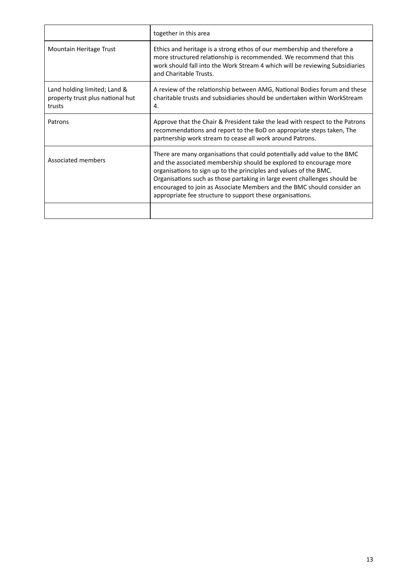|                                                                            | together in this area                                                                                                                                                                                                                                                                                                                                                                                                                   |
|----------------------------------------------------------------------------|-----------------------------------------------------------------------------------------------------------------------------------------------------------------------------------------------------------------------------------------------------------------------------------------------------------------------------------------------------------------------------------------------------------------------------------------|
| Mountain Heritage Trust                                                    | Ethics and heritage is a strong ethos of our membership and therefore a<br>more structured relationship is recommended. We recommend that this<br>work should fall into the Work Stream 4 which will be reviewing Subsidiaries<br>and Charitable Trusts.                                                                                                                                                                                |
| Land holding limited; Land &<br>property trust plus national hut<br>trusts | A review of the relationship between AMG, National Bodies forum and these<br>charitable trusts and subsidiaries should be undertaken within WorkStream<br>4.                                                                                                                                                                                                                                                                            |
| Patrons                                                                    | Approve that the Chair & President take the lead with respect to the Patrons<br>recommendations and report to the BoD on appropriate steps taken, The<br>partnership work stream to cease all work around Patrons.                                                                                                                                                                                                                      |
| Associated members                                                         | There are many organisations that could potentially add value to the BMC<br>and the associated membership should be explored to encourage more<br>organisations to sign up to the principles and values of the BMC.<br>Organisations such as those partaking in large event challenges should be<br>encouraged to join as Associate Members and the BMC should consider an<br>appropriate fee structure to support these organisations. |
|                                                                            |                                                                                                                                                                                                                                                                                                                                                                                                                                         |